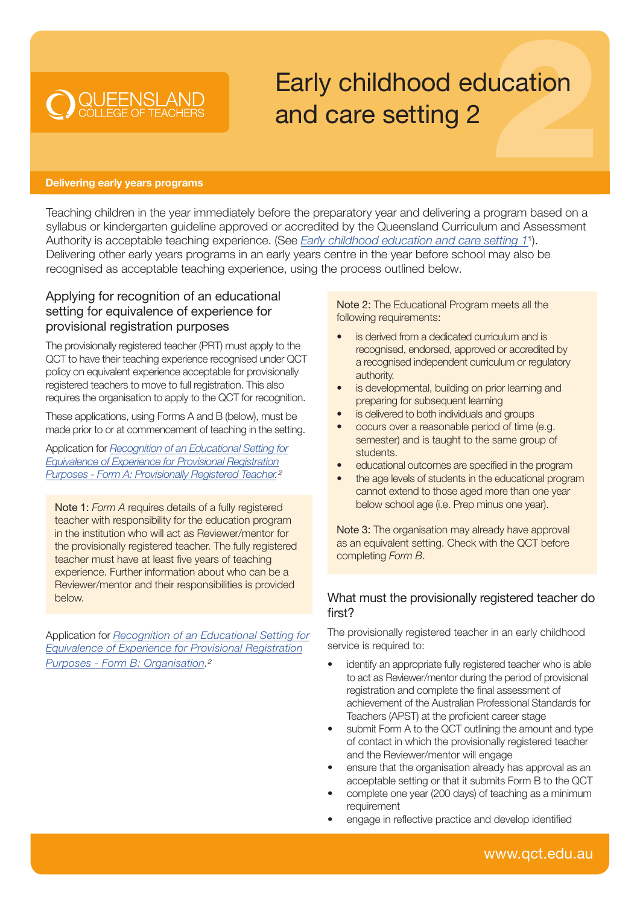# Early childhood education and care setting 2

#### Delivering early years programs

**O QUEENSLAND** 

Teaching children in the year immediately before the preparatory year and delivering a program based on a syllabus or kindergarten guideline approved or accredited by the Queensland Curriculum and Assessment Authority is acceptable teaching experience. (See *[Early childhood education and care setting 1](https://cdn.qct.edu.au/pdf/TeachingExperience_EarlyChildhoodEdCareSetting1.pdf)*<sup>1</sup>). Delivering other early years programs in an early years centre in the year before school may also be recognised as acceptable teaching experience, using the process outlined below.

## Applying for recognition of an educational setting for equivalence of experience for provisional registration purposes

The provisionally registered teacher (PRT) must apply to the QCT to have their teaching experience recognised under QCT policy on equivalent experience acceptable for provisionally registered teachers to move to full registration. This also requires the organisation to apply to the QCT for recognition.

These applications, using Forms A and B (below), must be made prior to or at commencement of teaching in the setting.

Application for *Recognition of an Educational Setting for [Equivalence of Experience for Provisional Registration](https://cdn.qct.edu.au/pdf/Equivalence_FormA_ApplicationforRecognitionofanEquivalentEducationalSetting.pdf)  Purposes - Form A: Provisionally Registered Teacher.2*

Note 1: *Form A* requires details of a fully registered teacher with responsibility for the education program in the institution who will act as Reviewer/mentor for the provisionally registered teacher. The fully registered teacher must have at least five years of teaching experience. Further information about who can be a Reviewer/mentor and their responsibilities is provided below.

Application for *Recognition of an Educational Setting for [Equivalence of Experience for Provisional Registration](https://cdn.qct.edu.au/pdf/Equivalence_FormB_ApplicationforRecognitionofanEquivalentEducationalSetting.pdf)  Purposes - Form B: Organisation.2*

Note 2: The Educational Program meets all the following requirements:

- is derived from a dedicated curriculum and is recognised, endorsed, approved or accredited by a recognised independent curriculum or regulatory authority.
- is developmental, building on prior learning and preparing for subsequent learning
- is delivered to both individuals and groups
- occurs over a reasonable period of time (e.g. semester) and is taught to the same group of students.
- educational outcomes are specified in the program
- the age levels of students in the educational program cannot extend to those aged more than one year below school age (i.e. Prep minus one year).

Note 3: The organisation may already have approval as an equivalent setting. Check with the QCT before completing *Form B*.

### What must the provisionally registered teacher do first?

The provisionally registered teacher in an early childhood service is required to:

- identify an appropriate fully registered teacher who is able to act as Reviewer/mentor during the period of provisional registration and complete the final assessment of achievement of the Australian Professional Standards for Teachers (APST) at the proficient career stage
- submit Form A to the QCT outlining the amount and type of contact in which the provisionally registered teacher and the Reviewer/mentor will engage
- ensure that the organisation already has approval as an acceptable setting or that it submits Form B to the QCT
- complete one year (200 days) of teaching as a minimum requirement
- engage in reflective practice and develop identified